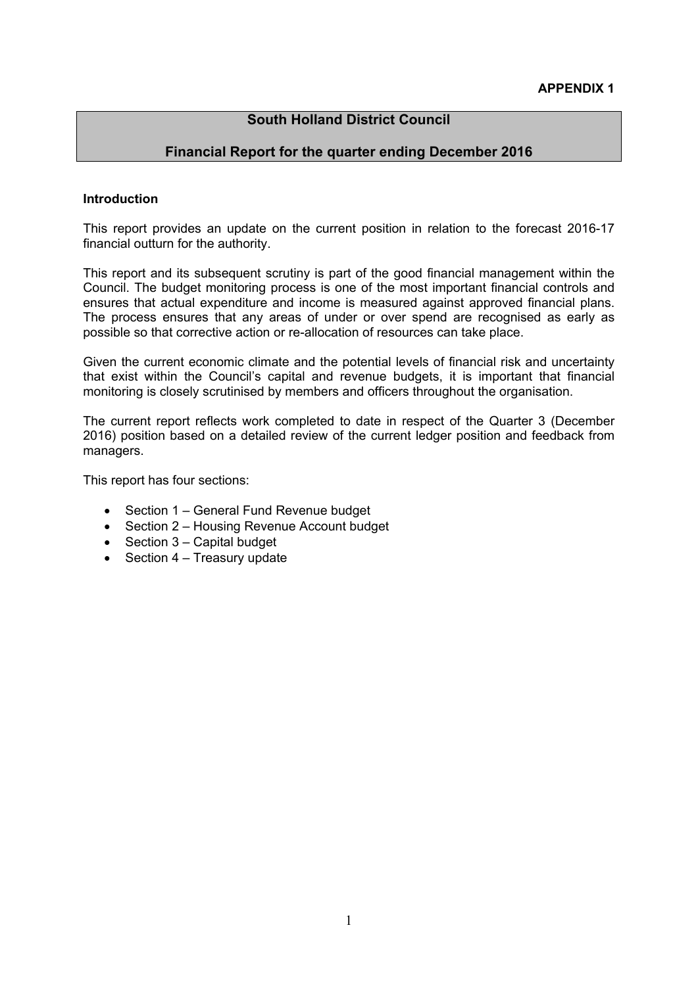## **South Holland District Council**

## **Financial Report for the quarter ending December 2016**

#### **Introduction**

This report provides an update on the current position in relation to the forecast 2016-17 financial outturn for the authority.

This report and its subsequent scrutiny is part of the good financial management within the Council. The budget monitoring process is one of the most important financial controls and ensures that actual expenditure and income is measured against approved financial plans. The process ensures that any areas of under or over spend are recognised as early as possible so that corrective action or re-allocation of resources can take place.

Given the current economic climate and the potential levels of financial risk and uncertainty that exist within the Council's capital and revenue budgets, it is important that financial monitoring is closely scrutinised by members and officers throughout the organisation.

The current report reflects work completed to date in respect of the Quarter 3 (December 2016) position based on a detailed review of the current ledger position and feedback from managers.

This report has four sections:

- Section 1 General Fund Revenue budget
- Section 2 Housing Revenue Account budget
- $\bullet$  Section 3 Capital budget
- $\bullet$  Section 4 Treasury update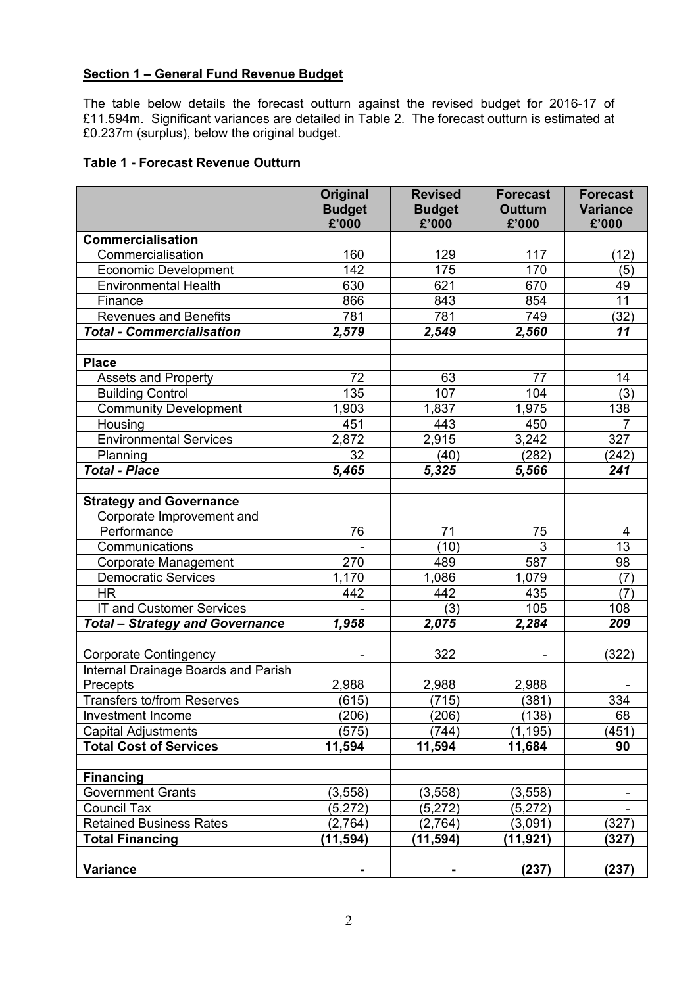## **Section 1 – General Fund Revenue Budget**

The table below details the forecast outturn against the revised budget for 2016-17 of £11.594m. Significant variances are detailed in Table 2. The forecast outturn is estimated at £0.237m (surplus), below the original budget.

## **Table 1 - Forecast Revenue Outturn**

|                                                                     | Original       | <b>Revised</b> | <b>Forecast</b> | <b>Forecast</b> |
|---------------------------------------------------------------------|----------------|----------------|-----------------|-----------------|
|                                                                     | <b>Budget</b>  | <b>Budget</b>  | <b>Outturn</b>  | <b>Variance</b> |
|                                                                     | £'000          | £'000          | £'000           | £'000           |
| <b>Commercialisation</b>                                            |                |                |                 |                 |
| Commercialisation                                                   | 160            | 129            | 117             | (12)            |
| <b>Economic Development</b>                                         | 142            | 175            | 170             | (5)             |
| <b>Environmental Health</b>                                         | 630            | 621            | 670             | 49              |
| Finance                                                             | 866            | 843            | 854             | $\overline{11}$ |
| <b>Revenues and Benefits</b>                                        | 781            | 781            | 749             | (32)            |
| <b>Total - Commercialisation</b>                                    | 2,579          | 2,549          | 2,560           | 11              |
| <b>Place</b>                                                        |                |                |                 |                 |
| Assets and Property                                                 | 72             | 63             | 77              | 14              |
|                                                                     | 135            | 107            |                 |                 |
| <b>Building Control</b>                                             |                |                | 104             | (3)             |
| <b>Community Development</b>                                        | 1,903          | 1,837          | 1,975           | 138             |
| Housing                                                             | 451            | 443            | 450             | $\overline{7}$  |
| <b>Environmental Services</b>                                       | 2,872          | 2,915          | 3,242           | 327             |
| Planning                                                            | 32             | (40)           | (282)           | (242)           |
| <b>Total - Place</b>                                                | 5,465          | 5,325          | 5,566           | 241             |
|                                                                     |                |                |                 |                 |
| <b>Strategy and Governance</b>                                      |                |                |                 |                 |
| Corporate Improvement and                                           |                |                |                 |                 |
| Performance                                                         | 76             | 71             | 75              | 4               |
| Communications                                                      |                | (10)           | 3               | 13              |
| Corporate Management                                                | 270            | 489            | 587             | 98              |
| <b>Democratic Services</b>                                          | 1,170          | 1,086          | 1,079           | (7)             |
| <b>HR</b>                                                           | 442            | 442            | 435             | (7)             |
| IT and Customer Services                                            |                | (3)            | 105             | 108             |
| <b>Total - Strategy and Governance</b>                              | 1,958          | 2,075          | 2,284           | 209             |
|                                                                     |                | 322            |                 |                 |
| <b>Corporate Contingency</b><br>Internal Drainage Boards and Parish | $\blacksquare$ |                |                 | (322)           |
| Precepts                                                            | 2,988          | 2,988          | 2,988           |                 |
| <b>Transfers to/from Reserves</b>                                   | (615)          | (715)          | (381)           | 334             |
|                                                                     | (206)          | (206)          | (138)           |                 |
| Investment Income                                                   |                | (744)          |                 | 68              |
| <b>Capital Adjustments</b>                                          | (575)          |                | (1, 195)        | (451)<br>90     |
| <b>Total Cost of Services</b>                                       | 11,594         | 11,594         | 11,684          |                 |
| <b>Financing</b>                                                    |                |                |                 |                 |
| <b>Government Grants</b>                                            | (3, 558)       | (3, 558)       | (3, 558)        |                 |
| <b>Council Tax</b>                                                  | (5,272)        | (5,272)        | (5, 272)        |                 |
| <b>Retained Business Rates</b>                                      | (2,764)        | (2,764)        | (3,091)         | (327)           |
| <b>Total Financing</b>                                              | (11, 594)      | (11, 594)      | (11, 921)       | (327)           |
|                                                                     |                |                |                 |                 |
| <b>Variance</b>                                                     | ۰              | $\blacksquare$ | (237)           | (237)           |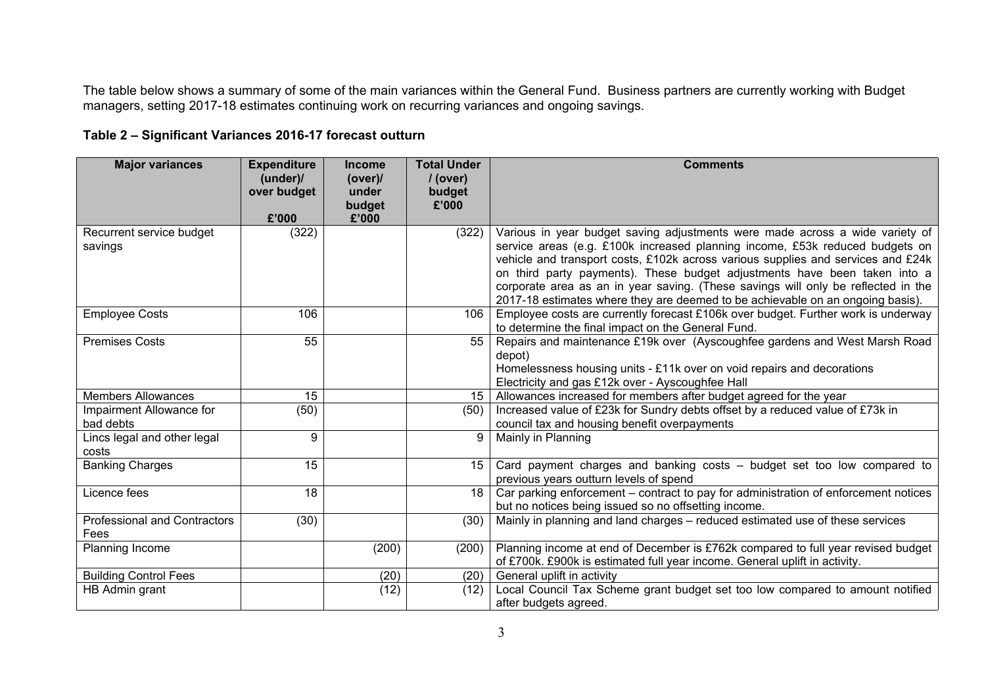The table below shows a summary of some of the main variances within the General Fund. Business partners are currently working with Budget managers, setting 2017-18 estimates continuing work on recurring variances and ongoing savings.

| <b>Major variances</b>                      | <b>Expenditure</b><br>(under)<br>over budget | <b>Income</b><br>(over)<br>under<br>budget | <b>Total Under</b><br>$/$ (over)<br>budget<br>£'000 | <b>Comments</b>                                                                                                                                                                                                                                                                                                                                                                                                                                                                                      |
|---------------------------------------------|----------------------------------------------|--------------------------------------------|-----------------------------------------------------|------------------------------------------------------------------------------------------------------------------------------------------------------------------------------------------------------------------------------------------------------------------------------------------------------------------------------------------------------------------------------------------------------------------------------------------------------------------------------------------------------|
|                                             | £'000                                        | £'000                                      |                                                     |                                                                                                                                                                                                                                                                                                                                                                                                                                                                                                      |
| Recurrent service budget<br>savings         | (322)                                        |                                            | (322)                                               | Various in year budget saving adjustments were made across a wide variety of<br>service areas (e.g. £100k increased planning income, £53k reduced budgets on<br>vehicle and transport costs, £102k across various supplies and services and £24k<br>on third party payments). These budget adjustments have been taken into a<br>corporate area as an in year saving. (These savings will only be reflected in the<br>2017-18 estimates where they are deemed to be achievable on an ongoing basis). |
| <b>Employee Costs</b>                       | 106                                          |                                            | 106                                                 | Employee costs are currently forecast £106k over budget. Further work is underway<br>to determine the final impact on the General Fund.                                                                                                                                                                                                                                                                                                                                                              |
| <b>Premises Costs</b>                       | 55                                           |                                            | 55                                                  | Repairs and maintenance £19k over (Ayscoughfee gardens and West Marsh Road<br>depot)<br>Homelessness housing units - £11k over on void repairs and decorations<br>Electricity and gas £12k over - Ayscoughfee Hall                                                                                                                                                                                                                                                                                   |
| <b>Members Allowances</b>                   | 15                                           |                                            |                                                     | 15   Allowances increased for members after budget agreed for the year                                                                                                                                                                                                                                                                                                                                                                                                                               |
| Impairment Allowance for<br>bad debts       | (50)                                         |                                            | (50)                                                | Increased value of £23k for Sundry debts offset by a reduced value of £73k in<br>council tax and housing benefit overpayments                                                                                                                                                                                                                                                                                                                                                                        |
| Lincs legal and other legal<br>costs        | 9                                            |                                            | 9                                                   | Mainly in Planning                                                                                                                                                                                                                                                                                                                                                                                                                                                                                   |
| <b>Banking Charges</b>                      | 15                                           |                                            | 15 <sup>15</sup>                                    | Card payment charges and banking costs - budget set too low compared to<br>previous years outturn levels of spend                                                                                                                                                                                                                                                                                                                                                                                    |
| Licence fees                                | 18                                           |                                            | 18                                                  | Car parking enforcement - contract to pay for administration of enforcement notices<br>but no notices being issued so no offsetting income.                                                                                                                                                                                                                                                                                                                                                          |
| <b>Professional and Contractors</b><br>Fees | (30)                                         |                                            | (30)                                                | Mainly in planning and land charges – reduced estimated use of these services                                                                                                                                                                                                                                                                                                                                                                                                                        |
| Planning Income                             |                                              | (200)                                      | (200)                                               | Planning income at end of December is £762k compared to full year revised budget<br>of £700k. £900k is estimated full year income. General uplift in activity.                                                                                                                                                                                                                                                                                                                                       |
| <b>Building Control Fees</b>                |                                              | (20)                                       | (20)                                                | General uplift in activity                                                                                                                                                                                                                                                                                                                                                                                                                                                                           |
| HB Admin grant                              |                                              | (12)                                       | (12)                                                | Local Council Tax Scheme grant budget set too low compared to amount notified<br>after budgets agreed.                                                                                                                                                                                                                                                                                                                                                                                               |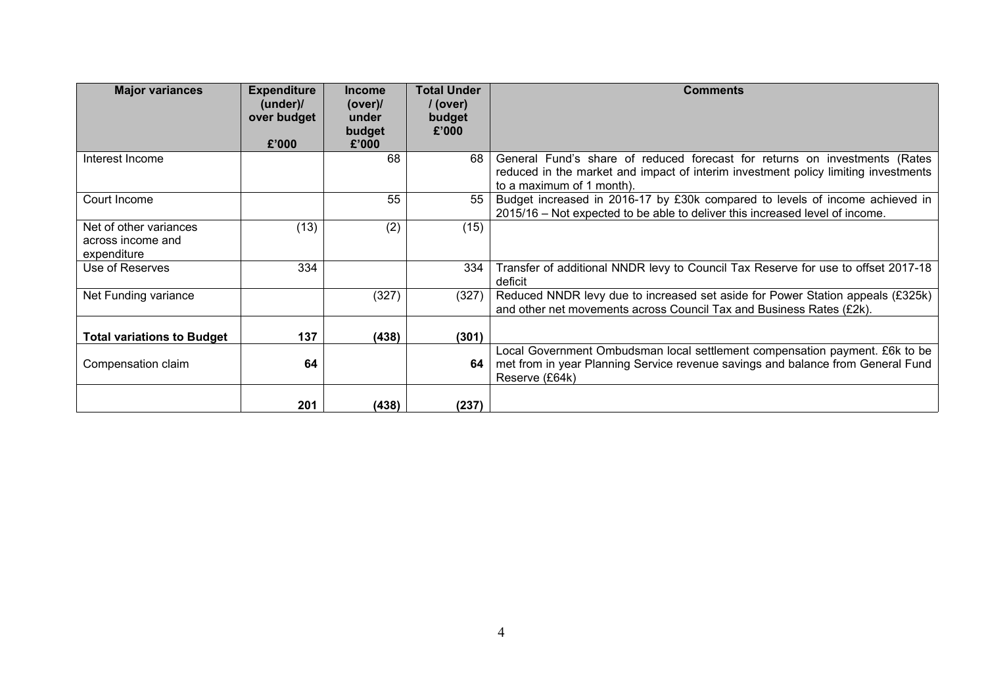| <b>Major variances</b>                                     | <b>Expenditure</b><br>(under)<br>over budget<br>£'000 | <b>Income</b><br>(over)<br>under<br>budget<br>£'000 | <b>Total Under</b><br>/ (over)<br>budget<br>£'000 | <b>Comments</b>                                                                                                                                                                               |
|------------------------------------------------------------|-------------------------------------------------------|-----------------------------------------------------|---------------------------------------------------|-----------------------------------------------------------------------------------------------------------------------------------------------------------------------------------------------|
| Interest Income                                            |                                                       | 68                                                  | 68                                                | General Fund's share of reduced forecast for returns on investments (Rates<br>reduced in the market and impact of interim investment policy limiting investments<br>to a maximum of 1 month). |
| Court Income                                               |                                                       | 55                                                  | 55                                                | Budget increased in 2016-17 by £30k compared to levels of income achieved in<br>2015/16 – Not expected to be able to deliver this increased level of income.                                  |
| Net of other variances<br>across income and<br>expenditure | (13)                                                  | (2)                                                 | (15)                                              |                                                                                                                                                                                               |
| Use of Reserves                                            | 334                                                   |                                                     | 334                                               | Transfer of additional NNDR levy to Council Tax Reserve for use to offset 2017-18<br>deficit                                                                                                  |
| Net Funding variance                                       |                                                       | (327)                                               | (327)                                             | Reduced NNDR levy due to increased set aside for Power Station appeals (£325k)<br>and other net movements across Council Tax and Business Rates (£2k).                                        |
| <b>Total variations to Budget</b>                          | 137                                                   | (438)                                               | (301)                                             |                                                                                                                                                                                               |
| Compensation claim                                         | 64                                                    |                                                     | 64                                                | Local Government Ombudsman local settlement compensation payment. £6k to be<br>met from in year Planning Service revenue savings and balance from General Fund<br>Reserve (£64k)              |
|                                                            | 201                                                   | (438)                                               | (237)                                             |                                                                                                                                                                                               |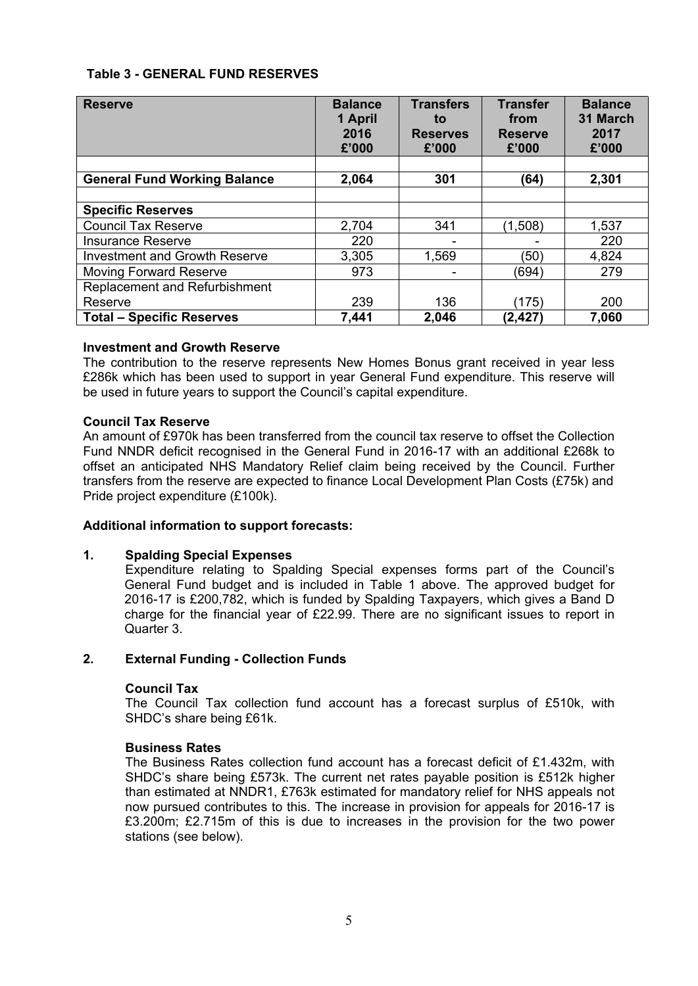### **Table 3 - GENERAL FUND RESERVES**

| <b>Reserve</b>                       | <b>Balance</b><br>1 April<br>2016<br>£'000 | <b>Transfers</b><br>to<br><b>Reserves</b><br>£'000 | <b>Transfer</b><br>from<br><b>Reserve</b><br>£'000 | <b>Balance</b><br>31 March<br>2017<br>£'000 |
|--------------------------------------|--------------------------------------------|----------------------------------------------------|----------------------------------------------------|---------------------------------------------|
| <b>General Fund Working Balance</b>  | 2,064                                      | 301                                                | (64)                                               | 2,301                                       |
|                                      |                                            |                                                    |                                                    |                                             |
| <b>Specific Reserves</b>             |                                            |                                                    |                                                    |                                             |
| <b>Council Tax Reserve</b>           | 2,704                                      | 341                                                | (1,508)                                            | 1,537                                       |
| <b>Insurance Reserve</b>             | 220                                        |                                                    |                                                    | 220                                         |
| <b>Investment and Growth Reserve</b> | 3,305                                      | 1,569                                              | (50)                                               | 4,824                                       |
| <b>Moving Forward Reserve</b>        | 973                                        |                                                    | (694)                                              | 279                                         |
| Replacement and Refurbishment        |                                            |                                                    |                                                    |                                             |
| Reserve                              | 239                                        | 136                                                | (175)                                              | 200                                         |
| <b>Total - Specific Reserves</b>     | 7,441                                      | 2,046                                              | (2, 427)                                           | 7,060                                       |

#### **Investment and Growth Reserve**

The contribution to the reserve represents New Homes Bonus grant received in year less £286k which has been used to support in year General Fund expenditure. This reserve will be used in future years to support the Council's capital expenditure.

#### **Council Tax Reserve**

An amount of £970k has been transferred from the council tax reserve to offset the Collection Fund NNDR deficit recognised in the General Fund in 2016-17 with an additional £268k to offset an anticipated NHS Mandatory Relief claim being received by the Council. Further transfers from the reserve are expected to finance Local Development Plan Costs (£75k) and Pride project expenditure (£100k).

### **Additional information to support forecasts:**

#### **1. Spalding Special Expenses**

Expenditure relating to Spalding Special expenses forms part of the Council's General Fund budget and is included in Table 1 above. The approved budget for 2016-17 is £200,782, which is funded by Spalding Taxpayers, which gives a Band D charge for the financial year of £22.99. There are no significant issues to report in Quarter 3.

#### **2. External Funding - Collection Funds**

#### **Council Tax**

The Council Tax collection fund account has a forecast surplus of £510k, with SHDC's share being £61k.

#### **Business Rates**

The Business Rates collection fund account has a forecast deficit of £1.432m, with SHDC's share being £573k. The current net rates payable position is £512k higher than estimated at NNDR1, £763k estimated for mandatory relief for NHS appeals not now pursued contributes to this. The increase in provision for appeals for 2016-17 is £3.200m; £2.715m of this is due to increases in the provision for the two power stations (see below).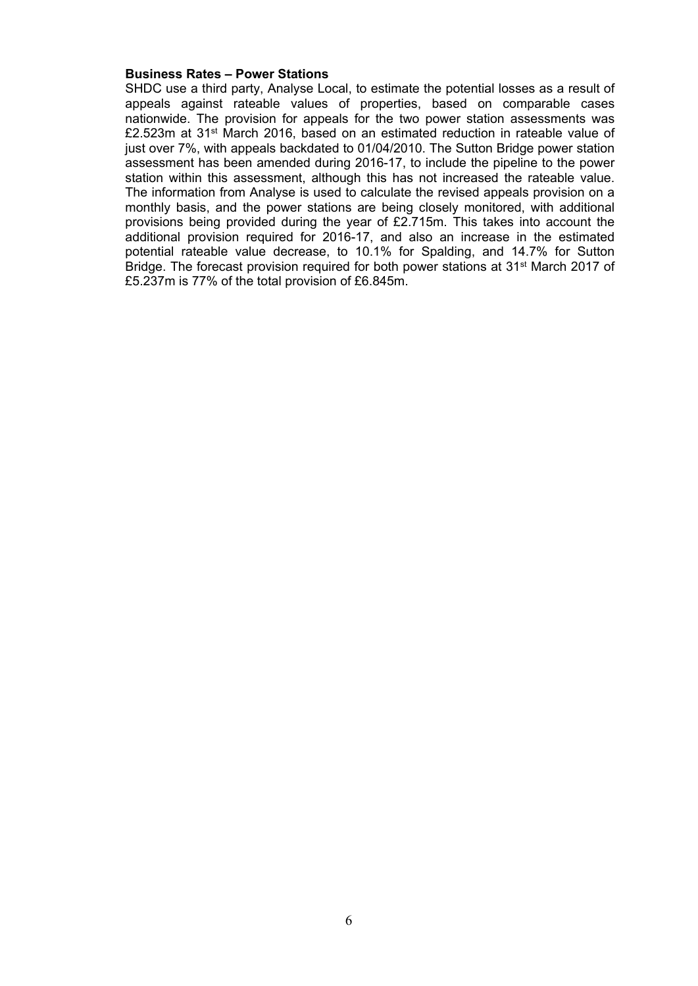#### **Business Rates – Power Stations**

SHDC use a third party, Analyse Local, to estimate the potential losses as a result of appeals against rateable values of properties, based on comparable cases nationwide. The provision for appeals for the two power station assessments was £2.523m at 31st March 2016, based on an estimated reduction in rateable value of just over 7%, with appeals backdated to 01/04/2010. The Sutton Bridge power station assessment has been amended during 2016-17, to include the pipeline to the power station within this assessment, although this has not increased the rateable value. The information from Analyse is used to calculate the revised appeals provision on a monthly basis, and the power stations are being closely monitored, with additional provisions being provided during the year of £2.715m. This takes into account the additional provision required for 2016-17, and also an increase in the estimated potential rateable value decrease, to 10.1% for Spalding, and 14.7% for Sutton Bridge. The forecast provision required for both power stations at 31st March 2017 of £5.237m is 77% of the total provision of £6.845m.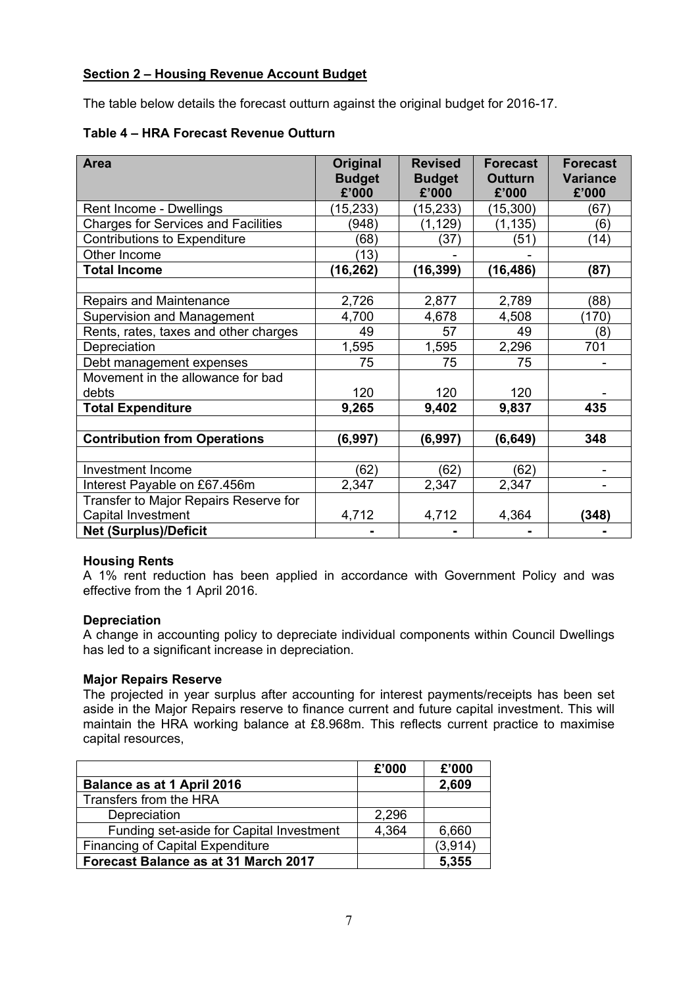## **Section 2 – Housing Revenue Account Budget**

The table below details the forecast outturn against the original budget for 2016-17.

| Table 4 - HRA Forecast Revenue Outturn |  |  |  |
|----------------------------------------|--|--|--|
|----------------------------------------|--|--|--|

| Area                                       | <b>Original</b><br><b>Budget</b><br>£'000 | <b>Revised</b><br><b>Budget</b><br>£'000 | <b>Forecast</b><br><b>Outturn</b><br>£'000 | <b>Forecast</b><br><b>Variance</b><br>£'000 |
|--------------------------------------------|-------------------------------------------|------------------------------------------|--------------------------------------------|---------------------------------------------|
| Rent Income - Dwellings                    | (15, 233)                                 | (15, 233)                                | (15, 300)                                  | (67)                                        |
| <b>Charges for Services and Facilities</b> | (948)                                     | (1, 129)                                 | (1, 135)                                   | (6)                                         |
| <b>Contributions to Expenditure</b>        | (68)                                      | (37)                                     | (51)                                       | (14)                                        |
| Other Income                               | (13)                                      |                                          |                                            |                                             |
| <b>Total Income</b>                        | (16, 262)                                 | (16, 399)                                | (16,486)                                   | (87)                                        |
|                                            |                                           |                                          |                                            |                                             |
| Repairs and Maintenance                    | 2,726                                     | 2,877                                    | 2,789                                      | (88)                                        |
| Supervision and Management                 | 4,700                                     | 4,678                                    | 4,508                                      | (170)                                       |
| Rents, rates, taxes and other charges      | 49                                        | 57                                       | 49                                         | (8)                                         |
| Depreciation                               | 1,595                                     | 1,595                                    | 2,296                                      | 701                                         |
| Debt management expenses                   | 75                                        | 75                                       | 75                                         |                                             |
| Movement in the allowance for bad          |                                           |                                          |                                            |                                             |
| debts                                      | 120                                       | 120                                      | 120                                        |                                             |
| <b>Total Expenditure</b>                   | 9,265                                     | 9,402                                    | 9,837                                      | 435                                         |
|                                            |                                           |                                          |                                            |                                             |
| <b>Contribution from Operations</b>        | (6,997)                                   | (6, 997)                                 | (6, 649)                                   | 348                                         |
|                                            |                                           |                                          |                                            |                                             |
| Investment Income                          | (62)                                      | (62)                                     | (62)                                       |                                             |
| Interest Payable on £67.456m               | 2,347                                     | 2,347                                    | 2,347                                      |                                             |
| Transfer to Major Repairs Reserve for      |                                           |                                          |                                            |                                             |
| Capital Investment                         | 4,712                                     | 4,712                                    | 4,364                                      | (348)                                       |
| <b>Net (Surplus)/Deficit</b>               |                                           |                                          |                                            |                                             |

### **Housing Rents**

A 1% rent reduction has been applied in accordance with Government Policy and was effective from the 1 April 2016.

### **Depreciation**

A change in accounting policy to depreciate individual components within Council Dwellings has led to a significant increase in depreciation.

### **Major Repairs Reserve**

The projected in year surplus after accounting for interest payments/receipts has been set aside in the Major Repairs reserve to finance current and future capital investment. This will maintain the HRA working balance at £8.968m. This reflects current practice to maximise capital resources,

|                                          | £'000 | £'000   |
|------------------------------------------|-------|---------|
| Balance as at 1 April 2016               |       | 2,609   |
| Transfers from the HRA                   |       |         |
| Depreciation                             | 2,296 |         |
| Funding set-aside for Capital Investment | 4,364 | 6,660   |
| <b>Financing of Capital Expenditure</b>  |       | (3,914) |
| Forecast Balance as at 31 March 2017     |       | 5,355   |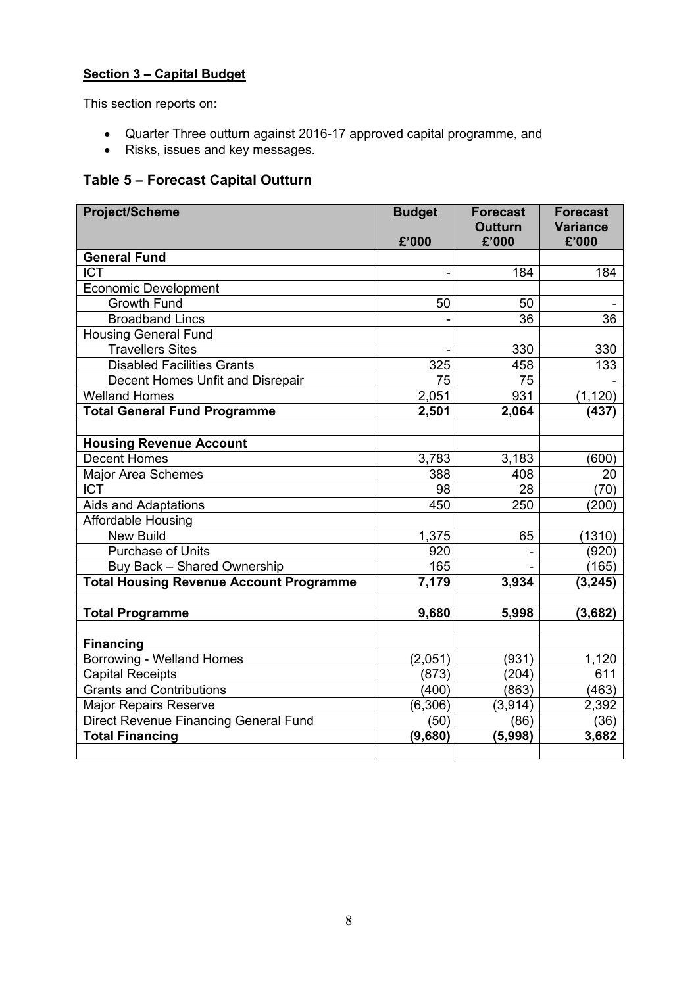## **Section 3 – Capital Budget**

This section reports on:

- Quarter Three outturn against 2016-17 approved capital programme, and
- Risks, issues and key messages.

# **Table 5 – Forecast Capital Outturn**

| <b>Project/Scheme</b>                                    | <b>Budget</b><br>£'000 | <b>Forecast</b><br><b>Outturn</b><br>£'000 | <b>Forecast</b><br><b>Variance</b><br>£'000 |
|----------------------------------------------------------|------------------------|--------------------------------------------|---------------------------------------------|
| <b>General Fund</b>                                      |                        |                                            |                                             |
| <b>ICT</b>                                               |                        | 184                                        | 184                                         |
|                                                          |                        |                                            |                                             |
| <b>Economic Development</b><br><b>Growth Fund</b>        | 50                     | 50                                         |                                             |
| <b>Broadband Lincs</b>                                   |                        | 36                                         | 36                                          |
|                                                          |                        |                                            |                                             |
| <b>Housing General Fund</b><br><b>Travellers Sites</b>   |                        | 330                                        |                                             |
| <b>Disabled Facilities Grants</b>                        |                        |                                            | 330                                         |
|                                                          | 325                    | 458                                        | 133                                         |
| Decent Homes Unfit and Disrepair<br><b>Welland Homes</b> | 75                     | 75<br>931                                  |                                             |
| <b>Total General Fund Programme</b>                      | 2,051                  |                                            | (1, 120)                                    |
|                                                          | 2,501                  | 2,064                                      | (437)                                       |
|                                                          |                        |                                            |                                             |
| <b>Housing Revenue Account</b>                           |                        |                                            |                                             |
| <b>Decent Homes</b>                                      | 3,783                  | 3,183                                      | (600)                                       |
| <b>Major Area Schemes</b>                                | 388                    | 408                                        | 20                                          |
| <b>ICT</b>                                               | 98                     | 28                                         | (70)                                        |
| Aids and Adaptations                                     | 450                    | 250                                        | (200)                                       |
| Affordable Housing                                       |                        |                                            |                                             |
| <b>New Build</b>                                         | 1,375                  | 65                                         | (1310)                                      |
| <b>Purchase of Units</b>                                 | 920                    |                                            | (920)                                       |
| Buy Back - Shared Ownership                              | 165                    |                                            | (165)                                       |
| <b>Total Housing Revenue Account Programme</b>           | 7,179                  | 3,934                                      | (3, 245)                                    |
|                                                          |                        |                                            |                                             |
| <b>Total Programme</b>                                   | 9,680                  | 5,998                                      | (3,682)                                     |
|                                                          |                        |                                            |                                             |
| <b>Financing</b>                                         |                        |                                            |                                             |
| Borrowing - Welland Homes                                | (2,051)                | (931)                                      | 1,120                                       |
| <b>Capital Receipts</b>                                  | (873)                  | (204)                                      | 611                                         |
| <b>Grants and Contributions</b>                          | (400)                  | (863)                                      | (463)                                       |
| <b>Major Repairs Reserve</b>                             | (6, 306)               | (3, 914)                                   | 2,392                                       |
| Direct Revenue Financing General Fund                    | (50)                   | (86)                                       | (36)                                        |
| <b>Total Financing</b>                                   | (9,680)                | (5,998)                                    | 3,682                                       |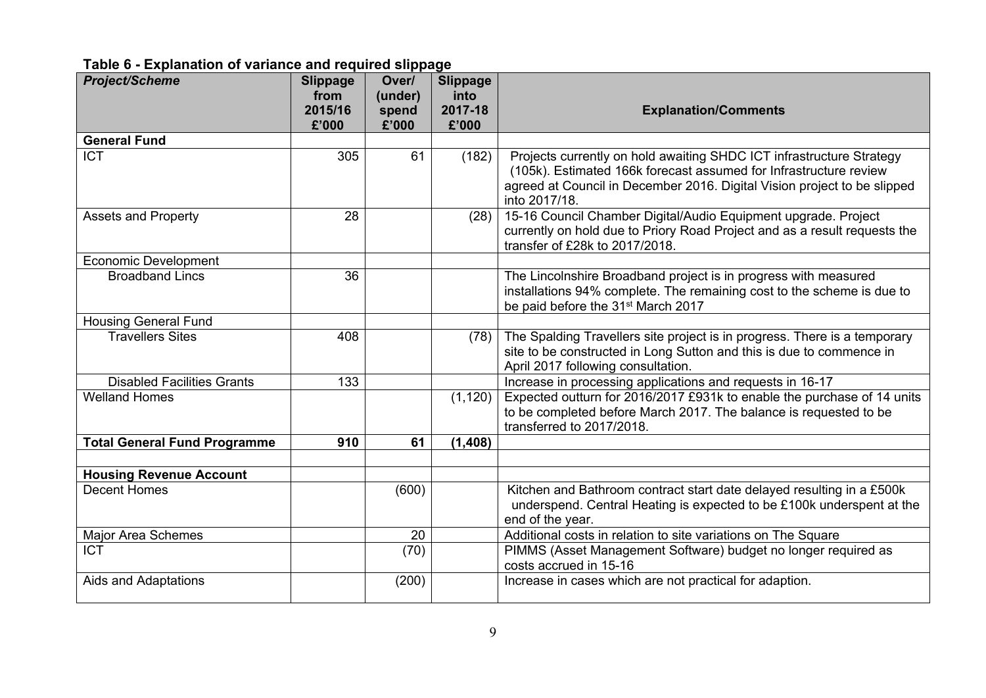## **Table 6 - Explanation of variance and required slippage**

| <b>Project/Scheme</b>               | <b>Slippage</b><br>from<br>2015/16<br>£'000 | Over/<br>(under)<br>spend<br>£'000 | <b>Slippage</b><br>into<br>2017-18<br>£'000 | <b>Explanation/Comments</b>                                                                                                                                                                                                            |
|-------------------------------------|---------------------------------------------|------------------------------------|---------------------------------------------|----------------------------------------------------------------------------------------------------------------------------------------------------------------------------------------------------------------------------------------|
| <b>General Fund</b>                 |                                             |                                    |                                             |                                                                                                                                                                                                                                        |
| <b>ICT</b>                          | 305                                         | 61                                 | (182)                                       | Projects currently on hold awaiting SHDC ICT infrastructure Strategy<br>(105k). Estimated 166k forecast assumed for Infrastructure review<br>agreed at Council in December 2016. Digital Vision project to be slipped<br>into 2017/18. |
| <b>Assets and Property</b>          | 28                                          |                                    | (28)                                        | 15-16 Council Chamber Digital/Audio Equipment upgrade. Project<br>currently on hold due to Priory Road Project and as a result requests the<br>transfer of £28k to 2017/2018.                                                          |
| <b>Economic Development</b>         |                                             |                                    |                                             |                                                                                                                                                                                                                                        |
| <b>Broadband Lincs</b>              | 36                                          |                                    |                                             | The Lincolnshire Broadband project is in progress with measured<br>installations 94% complete. The remaining cost to the scheme is due to<br>be paid before the 31 <sup>st</sup> March 2017                                            |
| <b>Housing General Fund</b>         |                                             |                                    |                                             |                                                                                                                                                                                                                                        |
| <b>Travellers Sites</b>             | 408                                         |                                    | (78)                                        | The Spalding Travellers site project is in progress. There is a temporary<br>site to be constructed in Long Sutton and this is due to commence in<br>April 2017 following consultation.                                                |
| <b>Disabled Facilities Grants</b>   | 133                                         |                                    |                                             | Increase in processing applications and requests in 16-17                                                                                                                                                                              |
| <b>Welland Homes</b>                |                                             |                                    | (1, 120)                                    | Expected outturn for 2016/2017 £931k to enable the purchase of 14 units<br>to be completed before March 2017. The balance is requested to be<br>transferred to 2017/2018.                                                              |
| <b>Total General Fund Programme</b> | 910                                         | 61                                 | (1, 408)                                    |                                                                                                                                                                                                                                        |
|                                     |                                             |                                    |                                             |                                                                                                                                                                                                                                        |
| <b>Housing Revenue Account</b>      |                                             |                                    |                                             |                                                                                                                                                                                                                                        |
| <b>Decent Homes</b>                 |                                             | (600)                              |                                             | Kitchen and Bathroom contract start date delayed resulting in a £500k<br>underspend. Central Heating is expected to be £100k underspent at the<br>end of the year.                                                                     |
| <b>Major Area Schemes</b>           |                                             | 20                                 |                                             | Additional costs in relation to site variations on The Square                                                                                                                                                                          |
| <b>ICT</b>                          |                                             | (70)                               |                                             | PIMMS (Asset Management Software) budget no longer required as<br>costs accrued in 15-16                                                                                                                                               |
| Aids and Adaptations                |                                             | (200)                              |                                             | Increase in cases which are not practical for adaption.                                                                                                                                                                                |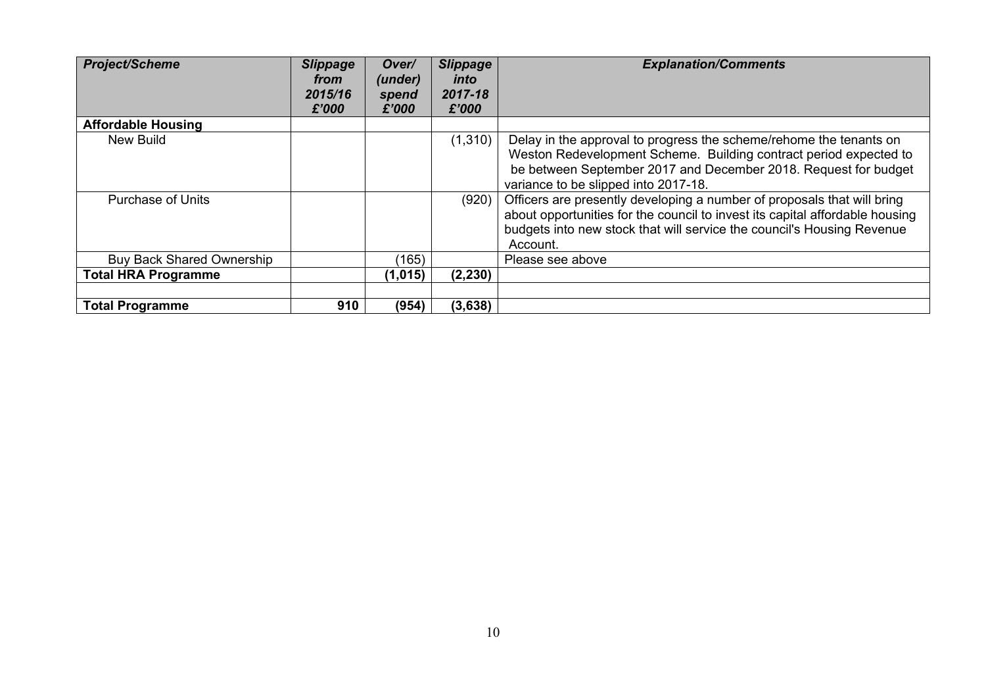| <b>Project/Scheme</b>            | <b>Slippage</b><br>from<br>2015/16<br>£'000 | Over/<br>(under)<br>spend<br>£'000 | <b>Slippage</b><br>into<br>2017-18<br>£'000 | <b>Explanation/Comments</b>                                                                                                                                                                                                                        |
|----------------------------------|---------------------------------------------|------------------------------------|---------------------------------------------|----------------------------------------------------------------------------------------------------------------------------------------------------------------------------------------------------------------------------------------------------|
| <b>Affordable Housing</b>        |                                             |                                    |                                             |                                                                                                                                                                                                                                                    |
| New Build                        |                                             |                                    | (1, 310)                                    | Delay in the approval to progress the scheme/rehome the tenants on<br>Weston Redevelopment Scheme. Building contract period expected to<br>be between September 2017 and December 2018. Request for budget<br>variance to be slipped into 2017-18. |
| <b>Purchase of Units</b>         |                                             |                                    | (920)                                       | Officers are presently developing a number of proposals that will bring<br>about opportunities for the council to invest its capital affordable housing<br>budgets into new stock that will service the council's Housing Revenue<br>Account.      |
| <b>Buy Back Shared Ownership</b> |                                             | (165)                              |                                             | Please see above                                                                                                                                                                                                                                   |
| <b>Total HRA Programme</b>       |                                             | (1,015)                            | (2, 230)                                    |                                                                                                                                                                                                                                                    |
|                                  |                                             |                                    |                                             |                                                                                                                                                                                                                                                    |
| <b>Total Programme</b>           | 910                                         | (954)                              | (3,638)                                     |                                                                                                                                                                                                                                                    |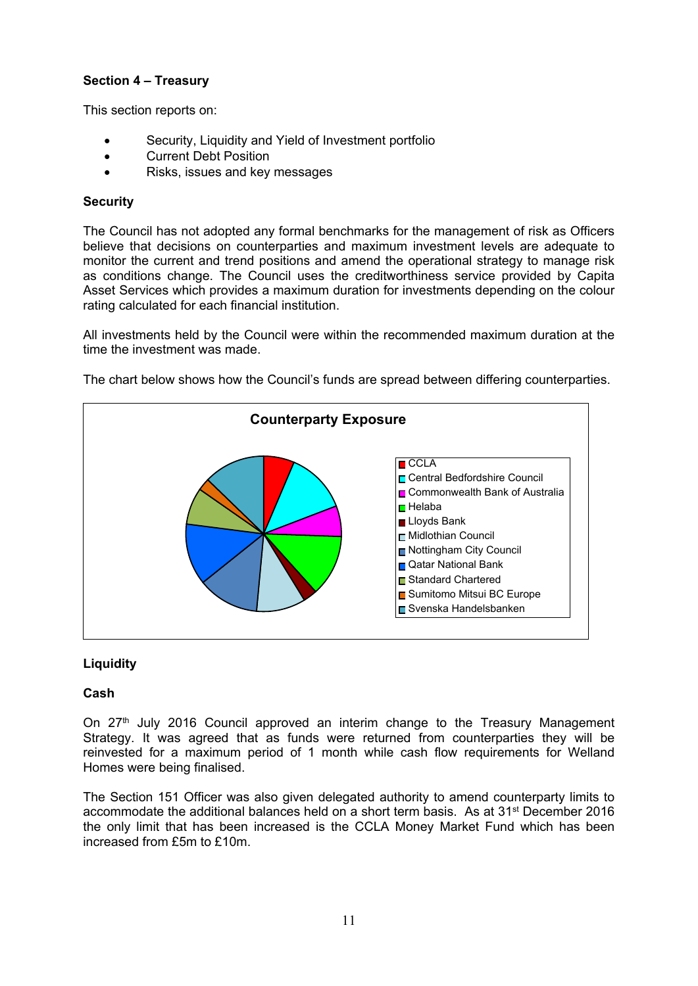## **Section 4 – Treasury**

This section reports on:

- Security, Liquidity and Yield of Investment portfolio
- Current Debt Position
- Risks, issues and key messages

### **Security**

The Council has not adopted any formal benchmarks for the management of risk as Officers believe that decisions on counterparties and maximum investment levels are adequate to monitor the current and trend positions and amend the operational strategy to manage risk as conditions change. The Council uses the creditworthiness service provided by Capita Asset Services which provides a maximum duration for investments depending on the colour rating calculated for each financial institution.

All investments held by the Council were within the recommended maximum duration at the time the investment was made.



The chart below shows how the Council's funds are spread between differing counterparties.

## **Liquidity**

### **Cash**

On 27<sup>th</sup> July 2016 Council approved an interim change to the Treasury Management Strategy. It was agreed that as funds were returned from counterparties they will be reinvested for a maximum period of 1 month while cash flow requirements for Welland Homes were being finalised.

The Section 151 Officer was also given delegated authority to amend counterparty limits to accommodate the additional balances held on a short term basis. As at 31st December 2016 the only limit that has been increased is the CCLA Money Market Fund which has been increased from £5m to £10m.